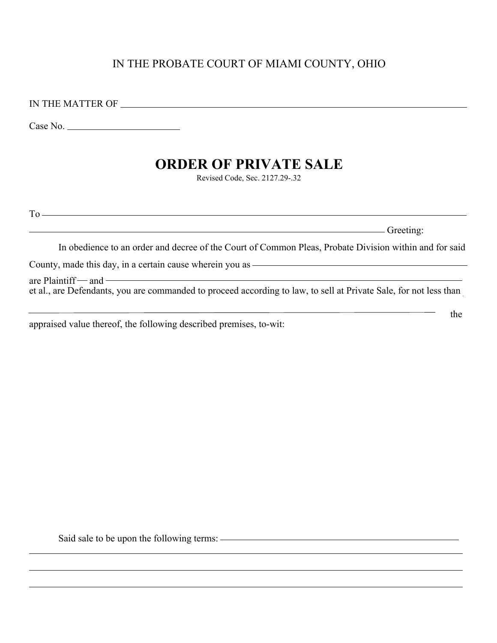# IN THE PROBATE COURT OF MIAMI COUNTY, OHIO

IN THE MATTER OF

Case No.

# **ORDER OF PRIVATE SALE**

Revised Code, Sec. 2127.29-.32

 $To \qquad \qquad \overbrace{\qquad \qquad }$ 

Greeting:

the

In obedience to an order and decree of the Court of Common Pleas, Probate Division within and for said

County, made this day, in a certain cause wherein you as

 $\alpha$ re Plaintiff — and —  $\alpha$ et al., are Defendants, you are commanded to proceed according to law, to sell at Private Sale, for not less than

appraised value thereof, the following described premises, to-wit:

Said sale to be upon the following terms:  $\overline{\phantom{a}}$